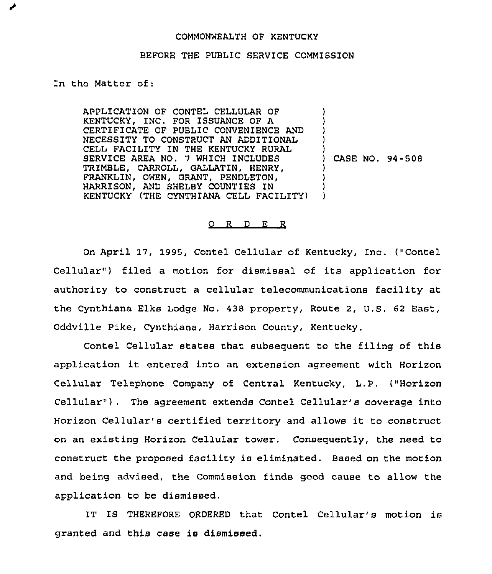## COMMONWEALTH OF KENTUCKY

## BEFORE THE PUBLIC SERVICE COMMISSION

In the Matter of:

APPLICATION OF CONTEL CELLULAR OF KENTUCKY, INC. FOR ISSUANCE OF A CERTIFICATE OF PUBLIC CONVENIENCE AND NECESSITY TO CONSTRUCT AN ADDITIONAL CELL FACILITY IN THE KENTUCKY RURAL SERVICE AREA NO. 7 WHICH INCLUDES TRIMBLE, CARROLL, GALLATIN, HENRY, FRANKLIN, OWEN, GRANT, PENDLETON, HARRISON, AND SHELBY COUNTIES IN KENTUCKY (THE CYNTHIANA CELL FACILITY) ) ) ) )

) CASE NO, 94-508

## 0 <sup>R</sup> <sup>D</sup> <sup>E</sup> <sup>R</sup>

On April 17, 1995, Contel Cellular of Kentucky, Inc. ("Contel Cellular") filed a motion for dismissal of its application for authority to construct a cellular telecommunications facility at the Cynthiana Elks Lodge No. 438 property, Route 2, U. S. 62 East, Oddville Pike, Cynthiana, Harrison County, Kentucky.

Contel Cellular states that subsequent to the filing of this application it entered into an extension agreement with Horizon Cellular Telephone Company of Central Kentucky, L.P. ("Horizon Cellular"). The agreement extends Contel Cellular's coverage into Horizon Cellular's certified territory and allows it to construct on an existing Horizon Cellular tower. Consequently, the need to construct the proposed facility is eliminated. Based on the motion and being advised, the Commission finds good cause to allow the application to be dismissed.

IT IS THEREFORE ORDERED that Contel Cellular's motion is granted and this case is dismissed.